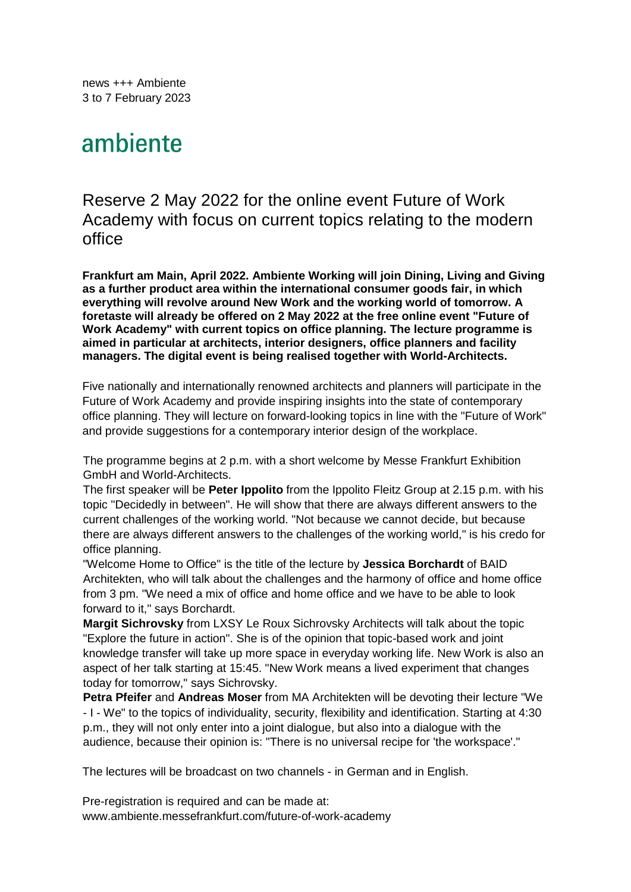news +++ Ambiente 3 to 7 February 2023

# ambiente

## Reserve 2 May 2022 for the online event Future of Work Academy with focus on current topics relating to the modern office

**Frankfurt am Main, April 2022. Ambiente Working will join Dining, Living and Giving as a further product area within the international consumer goods fair, in which everything will revolve around New Work and the working world of tomorrow. A foretaste will already be offered on 2 May 2022 at the free online event "Future of Work Academy" with current topics on office planning. The lecture programme is aimed in particular at architects, interior designers, office planners and facility managers. The digital event is being realised together with World-Architects.** 

Five nationally and internationally renowned architects and planners will participate in the Future of Work Academy and provide inspiring insights into the state of contemporary office planning. They will lecture on forward-looking topics in line with the "Future of Work" and provide suggestions for a contemporary interior design of the workplace.

The programme begins at 2 p.m. with a short welcome by Messe Frankfurt Exhibition GmbH and World-Architects.

The first speaker will be **Peter Ippolito** from the Ippolito Fleitz Group at 2.15 p.m. with his topic "Decidedly in between". He will show that there are always different answers to the current challenges of the working world. "Not because we cannot decide, but because there are always different answers to the challenges of the working world," is his credo for office planning.

"Welcome Home to Office" is the title of the lecture by **Jessica Borchardt** of BAID Architekten, who will talk about the challenges and the harmony of office and home office from 3 pm. "We need a mix of office and home office and we have to be able to look forward to it," says Borchardt.

**Margit Sichrovsky** from LXSY Le Roux Sichrovsky Architects will talk about the topic "Explore the future in action". She is of the opinion that topic-based work and joint knowledge transfer will take up more space in everyday working life. New Work is also an aspect of her talk starting at 15:45. "New Work means a lived experiment that changes today for tomorrow," says Sichrovsky.

**Petra Pfeifer** and **Andreas Moser** from MA Architekten will be devoting their lecture "We - I - We" to the topics of individuality, security, flexibility and identification. Starting at 4:30 p.m., they will not only enter into a joint dialogue, but also into a dialogue with the audience, because their opinion is: "There is no universal recipe for 'the workspace'."

The lectures will be broadcast on two channels - in German and in English.

Pre-registration is required and can be made at: www.ambiente.messefrankfurt.com/future-of-work-academy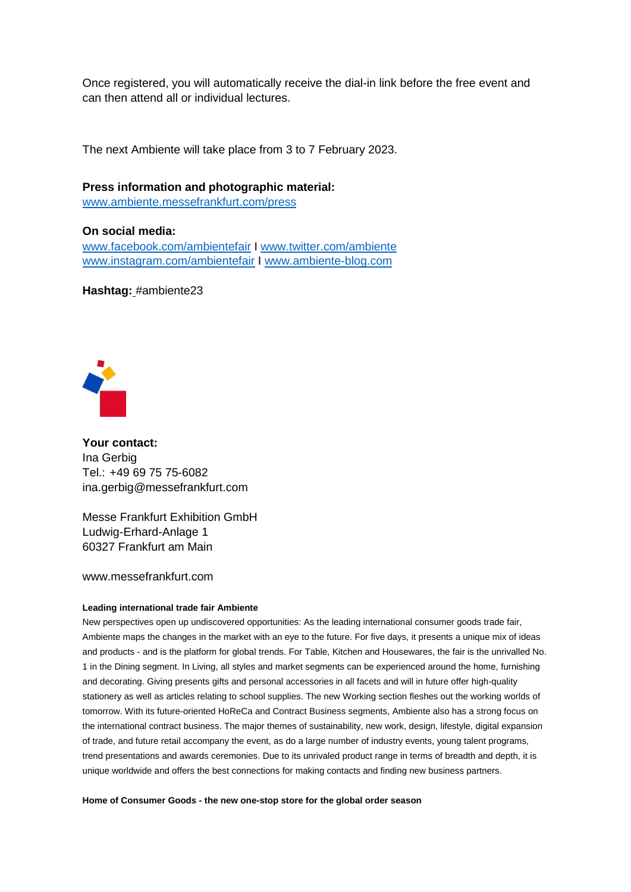Once registered, you will automatically receive the dial-in link before the free event and can then attend all or individual lectures.

The next Ambiente will take place from 3 to 7 February 2023.

**Press information and photographic material:**  www.ambiente.messefrankfurt.com/press

**On social media:**  www.facebook.com/ambientefair I www.twitter.com/ambiente www.instagram.com/ambientefair I www.ambiente-blog.com

**Hashtag:** #ambiente23



**Your contact:**  Ina Gerbig Tel.: +49 69 75 75-6082 ina.gerbig@messefrankfurt.com

Messe Frankfurt Exhibition GmbH Ludwig-Erhard-Anlage 1 60327 Frankfurt am Main

www.messefrankfurt.com

### **Leading international trade fair Ambiente**

New perspectives open up undiscovered opportunities: As the leading international consumer goods trade fair, Ambiente maps the changes in the market with an eye to the future. For five days, it presents a unique mix of ideas and products - and is the platform for global trends. For Table, Kitchen and Housewares, the fair is the unrivalled No. 1 in the Dining segment. In Living, all styles and market segments can be experienced around the home, furnishing and decorating. Giving presents gifts and personal accessories in all facets and will in future offer high-quality stationery as well as articles relating to school supplies. The new Working section fleshes out the working worlds of tomorrow. With its future-oriented HoReCa and Contract Business segments, Ambiente also has a strong focus on the international contract business. The major themes of sustainability, new work, design, lifestyle, digital expansion of trade, and future retail accompany the event, as do a large number of industry events, young talent programs, trend presentations and awards ceremonies. Due to its unrivaled product range in terms of breadth and depth, it is unique worldwide and offers the best connections for making contacts and finding new business partners.

**Home of Consumer Goods - the new one-stop store for the global order season**